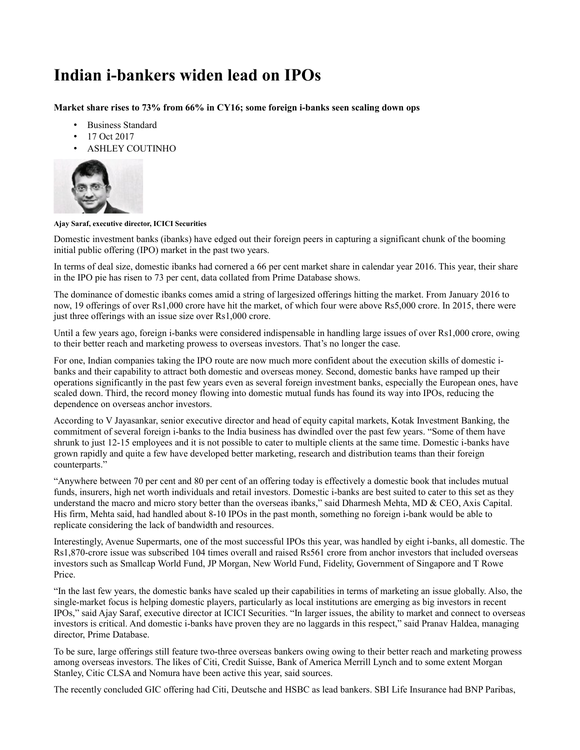## **Indian i-bankers widen lead on IPOs**

**Market share rises to 73% from 66% in CY16; some foreign i-banks seen scaling down ops**

- Business Standard
- 17 Oct 2017
- ASHLEY COUTINHO



## **Ajay Saraf, executive director, ICICI Securities**

Domestic investment banks (ibanks) have edged out their foreign peers in capturing a significant chunk of the booming initial public offering (IPO) market in the past two years.

In terms of deal size, domestic ibanks had cornered a 66 per cent market share in calendar year 2016. This year, their share in the IPO pie has risen to 73 per cent, data collated from Prime Database shows.

The dominance of domestic ibanks comes amid a string of largesized offerings hitting the market. From January 2016 to now, 19 offerings of over Rs1,000 crore have hit the market, of which four were above Rs5,000 crore. In 2015, there were just three offerings with an issue size over Rs1,000 crore.

Until a few years ago, foreign i-banks were considered indispensable in handling large issues of over Rs1,000 crore, owing to their better reach and marketing prowess to overseas investors. That's no longer the case.

For one, Indian companies taking the IPO route are now much more confident about the execution skills of domestic ibanks and their capability to attract both domestic and overseas money. Second, domestic banks have ramped up their operations significantly in the past few years even as several foreign investment banks, especially the European ones, have scaled down. Third, the record money flowing into domestic mutual funds has found its way into IPOs, reducing the dependence on overseas anchor investors.

According to V Jayasankar, senior executive director and head of equity capital markets, Kotak Investment Banking, the commitment of several foreign i-banks to the India business has dwindled over the past few years. "Some of them have shrunk to just 12-15 employees and it is not possible to cater to multiple clients at the same time. Domestic i-banks have grown rapidly and quite a few have developed better marketing, research and distribution teams than their foreign counterparts."

"Anywhere between 70 per cent and 80 per cent of an offering today is effectively a domestic book that includes mutual funds, insurers, high net worth individuals and retail investors. Domestic i-banks are best suited to cater to this set as they understand the macro and micro story better than the overseas ibanks," said Dharmesh Mehta, MD  $\&$  CEO, Axis Capital. His firm, Mehta said, had handled about 8-10 IPOs in the past month, something no foreign i-bank would be able to replicate considering the lack of bandwidth and resources.

Interestingly, Avenue Supermarts, one of the most successful IPOs this year, was handled by eight i-banks, all domestic. The Rs1,870-crore issue was subscribed 104 times overall and raised Rs561 crore from anchor investors that included overseas investors such as Smallcap World Fund, JP Morgan, New World Fund, Fidelity, Government of Singapore and T Rowe Price.

"In the last few years, the domestic banks have scaled up their capabilities in terms of marketing an issue globally. Also, the single-market focus is helping domestic players, particularly as local institutions are emerging as big investors in recent IPOs," said Ajay Saraf, executive director at ICICI Securities. "In larger issues, the ability to market and connect to overseas investors is critical. And domestic i-banks have proven they are no laggards in this respect," said Pranav Haldea, managing director, Prime Database.

To be sure, large offerings still feature two-three overseas bankers owing owing to their better reach and marketing prowess among overseas investors. The likes of Citi, Credit Suisse, Bank of America Merrill Lynch and to some extent Morgan Stanley, Citic CLSA and Nomura have been active this year, said sources.

The recently concluded GIC offering had Citi, Deutsche and HSBC as lead bankers. SBI Life Insurance had BNP Paribas,